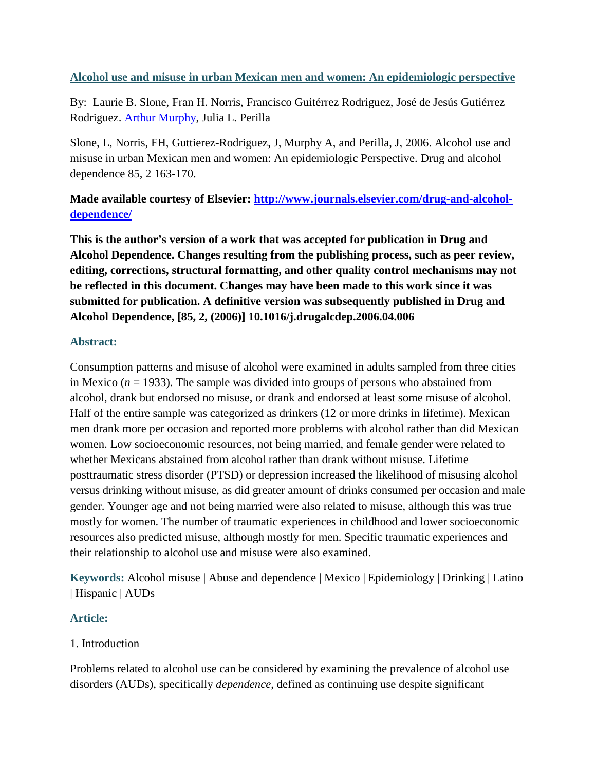## **Alcohol use and misuse in urban Mexican men and women: An epidemiologic perspective**

By: Laurie B. Slone, Fran H. Norris, Francisco Guitérrez Rodriguez, José de Jesús Gutiérrez Rodriguez. [Arthur Murphy,](http://libres.uncg.edu/ir/uncg/clist.aspx?id=443) Julia L. Perilla

Slone, L, Norris, FH, Guttierez-Rodriguez, J, Murphy A, and Perilla, J, 2006. Alcohol use and misuse in urban Mexican men and women: An epidemiologic Perspective. Drug and alcohol dependence 85, 2 163-170.

# **Made available courtesy of Elsevier: [http://www.journals.elsevier.com/drug-and-alcohol](http://www.journals.elsevier.com/drug-and-alcohol-dependence/)[dependence/](http://www.journals.elsevier.com/drug-and-alcohol-dependence/)**

**This is the author's version of a work that was accepted for publication in Drug and Alcohol Dependence. Changes resulting from the publishing process, such as peer review, editing, corrections, structural formatting, and other quality control mechanisms may not be reflected in this document. Changes may have been made to this work since it was submitted for publication. A definitive version was subsequently published in Drug and Alcohol Dependence, [85, 2, (2006)] 10.1016/j.drugalcdep.2006.04.006**

## **Abstract:**

Consumption patterns and misuse of alcohol were examined in adults sampled from three cities in Mexico (*n* = 1933). The sample was divided into groups of persons who abstained from alcohol, drank but endorsed no misuse, or drank and endorsed at least some misuse of alcohol. Half of the entire sample was categorized as drinkers (12 or more drinks in lifetime). Mexican men drank more per occasion and reported more problems with alcohol rather than did Mexican women. Low socioeconomic resources, not being married, and female gender were related to whether Mexicans abstained from alcohol rather than drank without misuse. Lifetime posttraumatic stress disorder (PTSD) or depression increased the likelihood of misusing alcohol versus drinking without misuse, as did greater amount of drinks consumed per occasion and male gender. Younger age and not being married were also related to misuse, although this was true mostly for women. The number of traumatic experiences in childhood and lower socioeconomic resources also predicted misuse, although mostly for men. Specific traumatic experiences and their relationship to alcohol use and misuse were also examined.

**Keywords:** Alcohol misuse | Abuse and dependence | Mexico | Epidemiology | Drinking | Latino | Hispanic | AUDs

## **Article:**

## 1. Introduction

Problems related to alcohol use can be considered by examining the prevalence of alcohol use disorders (AUDs), specifically *dependence*, defined as continuing use despite significant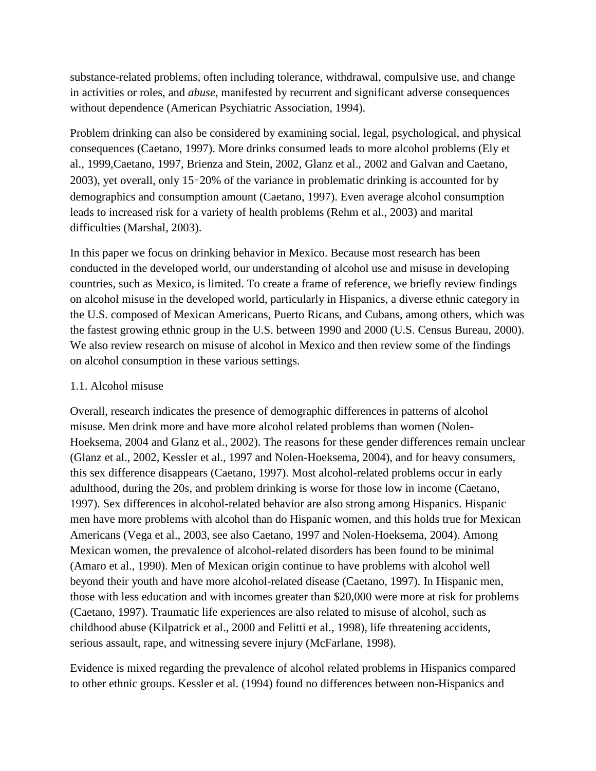substance-related problems, often including tolerance, withdrawal, compulsive use, and change in activities or roles, and *abuse*, manifested by recurrent and significant adverse consequences without dependence (American Psychiatric Association, 1994).

Problem drinking can also be considered by examining social, legal, psychological, and physical consequences (Caetano, 1997). More drinks consumed leads to more alcohol problems (Ely et al., 1999,Caetano, 1997, Brienza and Stein, 2002, Glanz et al., 2002 and Galvan and Caetano, 2003), yet overall, only 15–20% of the variance in problematic drinking is accounted for by demographics and consumption amount (Caetano, 1997). Even average alcohol consumption leads to increased risk for a variety of health problems (Rehm et al., 2003) and marital difficulties (Marshal, 2003).

In this paper we focus on drinking behavior in Mexico. Because most research has been conducted in the developed world, our understanding of alcohol use and misuse in developing countries, such as Mexico, is limited. To create a frame of reference, we briefly review findings on alcohol misuse in the developed world, particularly in Hispanics, a diverse ethnic category in the U.S. composed of Mexican Americans, Puerto Ricans, and Cubans, among others, which was the fastest growing ethnic group in the U.S. between 1990 and 2000 (U.S. Census Bureau, 2000). We also review research on misuse of alcohol in Mexico and then review some of the findings on alcohol consumption in these various settings.

### 1.1. Alcohol misuse

Overall, research indicates the presence of demographic differences in patterns of alcohol misuse. Men drink more and have more alcohol related problems than women (Nolen-Hoeksema, 2004 and Glanz et al., 2002). The reasons for these gender differences remain unclear (Glanz et al., 2002, Kessler et al., 1997 and Nolen-Hoeksema, 2004), and for heavy consumers, this sex difference disappears (Caetano, 1997). Most alcohol-related problems occur in early adulthood, during the 20s, and problem drinking is worse for those low in income (Caetano, 1997). Sex differences in alcohol-related behavior are also strong among Hispanics. Hispanic men have more problems with alcohol than do Hispanic women, and this holds true for Mexican Americans (Vega et al., 2003, see also Caetano, 1997 and Nolen-Hoeksema, 2004). Among Mexican women, the prevalence of alcohol-related disorders has been found to be minimal (Amaro et al., 1990). Men of Mexican origin continue to have problems with alcohol well beyond their youth and have more alcohol-related disease (Caetano, 1997). In Hispanic men, those with less education and with incomes greater than \$20,000 were more at risk for problems (Caetano, 1997). Traumatic life experiences are also related to misuse of alcohol, such as childhood abuse (Kilpatrick et al., 2000 and Felitti et al., 1998), life threatening accidents, serious assault, rape, and witnessing severe injury (McFarlane, 1998).

Evidence is mixed regarding the prevalence of alcohol related problems in Hispanics compared to other ethnic groups. Kessler et al. (1994) found no differences between non-Hispanics and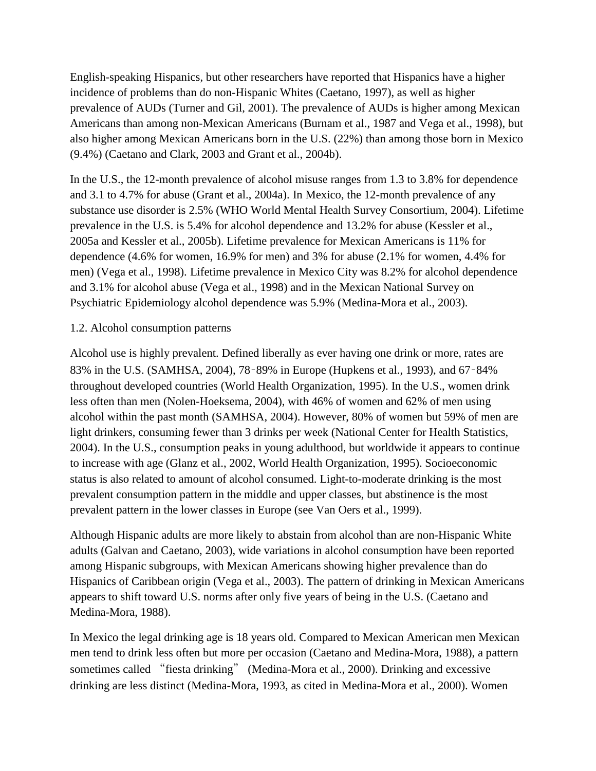English-speaking Hispanics, but other researchers have reported that Hispanics have a higher incidence of problems than do non-Hispanic Whites (Caetano, 1997), as well as higher prevalence of AUDs (Turner and Gil, 2001). The prevalence of AUDs is higher among Mexican Americans than among non-Mexican Americans (Burnam et al., 1987 and Vega et al., 1998), but also higher among Mexican Americans born in the U.S. (22%) than among those born in Mexico (9.4%) (Caetano and Clark, 2003 and Grant et al., 2004b).

In the U.S., the 12-month prevalence of alcohol misuse ranges from 1.3 to 3.8% for dependence and 3.1 to 4.7% for abuse (Grant et al., 2004a). In Mexico, the 12-month prevalence of any substance use disorder is 2.5% (WHO World Mental Health Survey Consortium, 2004). Lifetime prevalence in the U.S. is 5.4% for alcohol dependence and 13.2% for abuse (Kessler et al., 2005a and Kessler et al., 2005b). Lifetime prevalence for Mexican Americans is 11% for dependence (4.6% for women, 16.9% for men) and 3% for abuse (2.1% for women, 4.4% for men) (Vega et al., 1998). Lifetime prevalence in Mexico City was 8.2% for alcohol dependence and 3.1% for alcohol abuse (Vega et al., 1998) and in the Mexican National Survey on Psychiatric Epidemiology alcohol dependence was 5.9% (Medina-Mora et al., 2003).

## 1.2. Alcohol consumption patterns

Alcohol use is highly prevalent. Defined liberally as ever having one drink or more, rates are 83% in the U.S. (SAMHSA, 2004), 78–89% in Europe (Hupkens et al., 1993), and 67–84% throughout developed countries (World Health Organization, 1995). In the U.S., women drink less often than men (Nolen-Hoeksema, 2004), with 46% of women and 62% of men using alcohol within the past month (SAMHSA, 2004). However, 80% of women but 59% of men are light drinkers, consuming fewer than 3 drinks per week (National Center for Health Statistics, 2004). In the U.S., consumption peaks in young adulthood, but worldwide it appears to continue to increase with age (Glanz et al., 2002, World Health Organization, 1995). Socioeconomic status is also related to amount of alcohol consumed. Light-to-moderate drinking is the most prevalent consumption pattern in the middle and upper classes, but abstinence is the most prevalent pattern in the lower classes in Europe (see Van Oers et al., 1999).

Although Hispanic adults are more likely to abstain from alcohol than are non-Hispanic White adults (Galvan and Caetano, 2003), wide variations in alcohol consumption have been reported among Hispanic subgroups, with Mexican Americans showing higher prevalence than do Hispanics of Caribbean origin (Vega et al., 2003). The pattern of drinking in Mexican Americans appears to shift toward U.S. norms after only five years of being in the U.S. (Caetano and Medina-Mora, 1988).

In Mexico the legal drinking age is 18 years old. Compared to Mexican American men Mexican men tend to drink less often but more per occasion (Caetano and Medina-Mora, 1988), a pattern sometimes called "fiesta drinking" (Medina-Mora et al., 2000). Drinking and excessive drinking are less distinct (Medina-Mora, 1993, as cited in Medina-Mora et al., 2000). Women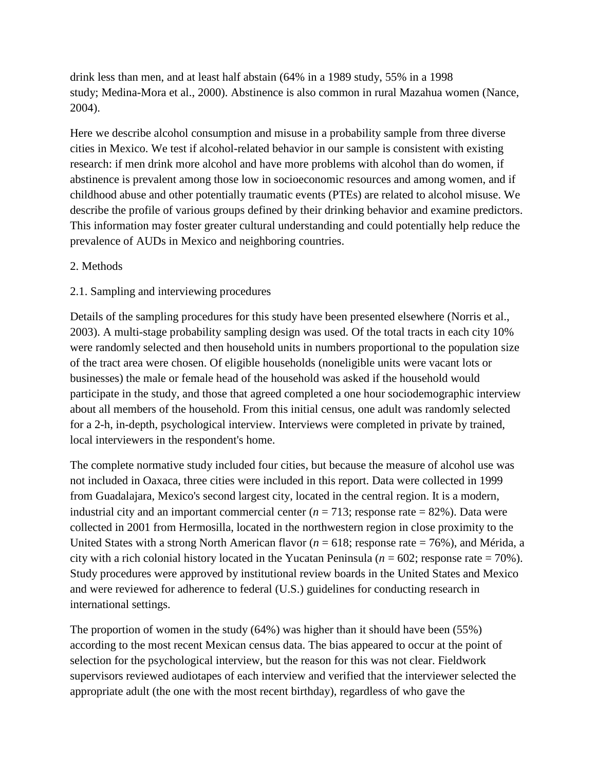drink less than men, and at least half abstain (64% in a 1989 study, 55% in a 1998 study; Medina-Mora et al., 2000). Abstinence is also common in rural Mazahua women (Nance, 2004).

Here we describe alcohol consumption and misuse in a probability sample from three diverse cities in Mexico. We test if alcohol-related behavior in our sample is consistent with existing research: if men drink more alcohol and have more problems with alcohol than do women, if abstinence is prevalent among those low in socioeconomic resources and among women, and if childhood abuse and other potentially traumatic events (PTEs) are related to alcohol misuse. We describe the profile of various groups defined by their drinking behavior and examine predictors. This information may foster greater cultural understanding and could potentially help reduce the prevalence of AUDs in Mexico and neighboring countries.

### 2. Methods

### 2.1. Sampling and interviewing procedures

Details of the sampling procedures for this study have been presented elsewhere (Norris et al., 2003). A multi-stage probability sampling design was used. Of the total tracts in each city 10% were randomly selected and then household units in numbers proportional to the population size of the tract area were chosen. Of eligible households (noneligible units were vacant lots or businesses) the male or female head of the household was asked if the household would participate in the study, and those that agreed completed a one hour sociodemographic interview about all members of the household. From this initial census, one adult was randomly selected for a 2-h, in-depth, psychological interview. Interviews were completed in private by trained, local interviewers in the respondent's home.

The complete normative study included four cities, but because the measure of alcohol use was not included in Oaxaca, three cities were included in this report. Data were collected in 1999 from Guadalajara, Mexico's second largest city, located in the central region. It is a modern, industrial city and an important commercial center  $(n = 713)$ ; response rate = 82%). Data were collected in 2001 from Hermosilla, located in the northwestern region in close proximity to the United States with a strong North American flavor (*n* = 618; response rate = 76%), and Mérida, a city with a rich colonial history located in the Yucatan Peninsula  $(n = 602)$ ; response rate  $= 70\%$ ). Study procedures were approved by institutional review boards in the United States and Mexico and were reviewed for adherence to federal (U.S.) guidelines for conducting research in international settings.

The proportion of women in the study (64%) was higher than it should have been (55%) according to the most recent Mexican census data. The bias appeared to occur at the point of selection for the psychological interview, but the reason for this was not clear. Fieldwork supervisors reviewed audiotapes of each interview and verified that the interviewer selected the appropriate adult (the one with the most recent birthday), regardless of who gave the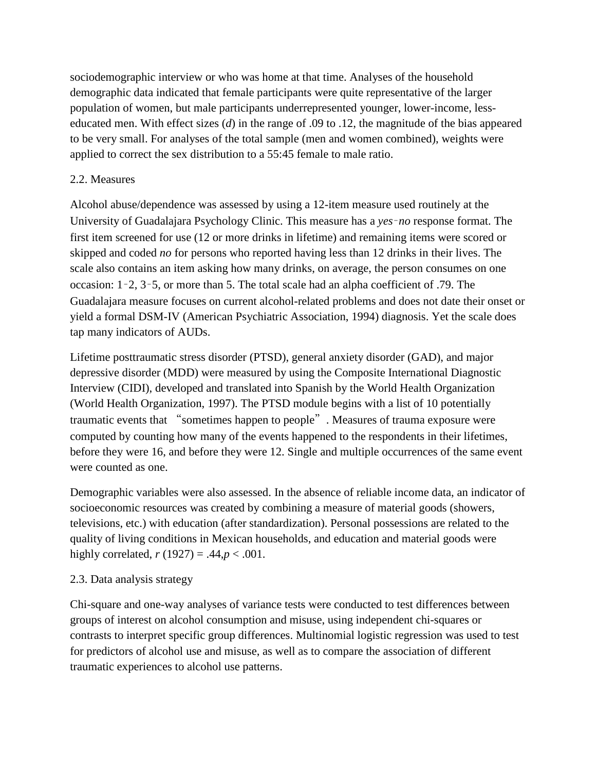sociodemographic interview or who was home at that time. Analyses of the household demographic data indicated that female participants were quite representative of the larger population of women, but male participants underrepresented younger, lower-income, lesseducated men. With effect sizes (*d*) in the range of .09 to .12, the magnitude of the bias appeared to be very small. For analyses of the total sample (men and women combined), weights were applied to correct the sex distribution to a 55:45 female to male ratio.

## 2.2. Measures

Alcohol abuse/dependence was assessed by using a 12-item measure used routinely at the University of Guadalajara Psychology Clinic. This measure has a *yes*–*no* response format. The first item screened for use (12 or more drinks in lifetime) and remaining items were scored or skipped and coded *no* for persons who reported having less than 12 drinks in their lives. The scale also contains an item asking how many drinks, on average, the person consumes on one occasion: 1–2, 3–5, or more than 5. The total scale had an alpha coefficient of .79. The Guadalajara measure focuses on current alcohol-related problems and does not date their onset or yield a formal DSM-IV (American Psychiatric Association, 1994) diagnosis. Yet the scale does tap many indicators of AUDs.

Lifetime posttraumatic stress disorder (PTSD), general anxiety disorder (GAD), and major depressive disorder (MDD) were measured by using the Composite International Diagnostic Interview (CIDI), developed and translated into Spanish by the World Health Organization (World Health Organization, 1997). The PTSD module begins with a list of 10 potentially traumatic events that "sometimes happen to people". Measures of trauma exposure were computed by counting how many of the events happened to the respondents in their lifetimes, before they were 16, and before they were 12. Single and multiple occurrences of the same event were counted as one.

Demographic variables were also assessed. In the absence of reliable income data, an indicator of socioeconomic resources was created by combining a measure of material goods (showers, televisions, etc.) with education (after standardization). Personal possessions are related to the quality of living conditions in Mexican households, and education and material goods were highly correlated,  $r(1927) = .44, p < .001$ .

## 2.3. Data analysis strategy

Chi-square and one-way analyses of variance tests were conducted to test differences between groups of interest on alcohol consumption and misuse, using independent chi-squares or contrasts to interpret specific group differences. Multinomial logistic regression was used to test for predictors of alcohol use and misuse, as well as to compare the association of different traumatic experiences to alcohol use patterns.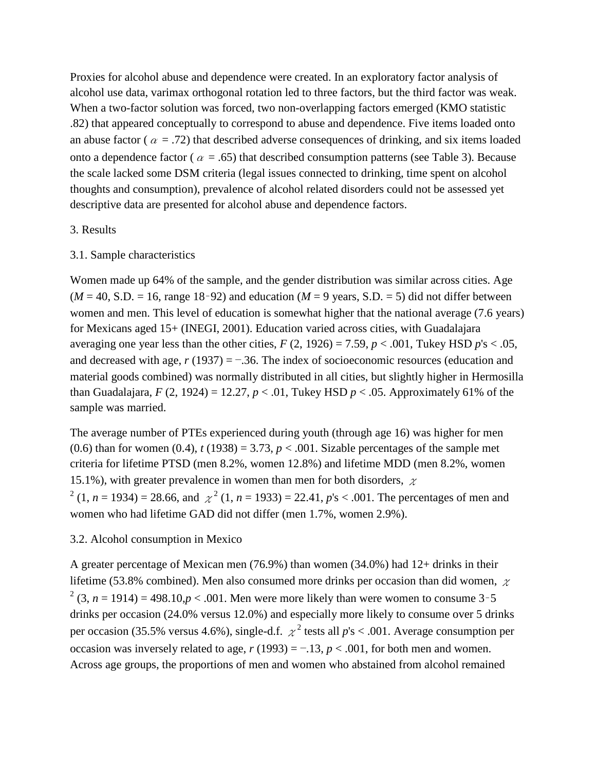Proxies for alcohol abuse and dependence were created. In an exploratory factor analysis of alcohol use data, varimax orthogonal rotation led to three factors, but the third factor was weak. When a two-factor solution was forced, two non-overlapping factors emerged (KMO statistic .82) that appeared conceptually to correspond to abuse and dependence. Five items loaded onto an abuse factor ( $\alpha = .72$ ) that described adverse consequences of drinking, and six items loaded onto a dependence factor ( $\alpha = .65$ ) that described consumption patterns (see Table 3). Because the scale lacked some DSM criteria (legal issues connected to drinking, time spent on alcohol thoughts and consumption), prevalence of alcohol related disorders could not be assessed yet descriptive data are presented for alcohol abuse and dependence factors.

#### 3. Results

#### 3.1. Sample characteristics

Women made up 64% of the sample, and the gender distribution was similar across cities. Age  $(M = 40, S.D. = 16$ , range 18-92) and education  $(M = 9$  years, S.D. = 5) did not differ between women and men. This level of education is somewhat higher that the national average (7.6 years) for Mexicans aged 15+ (INEGI, 2001). Education varied across cities, with Guadalajara averaging one year less than the other cities,  $F(2, 1926) = 7.59$ ,  $p < .001$ , Tukey HSD  $p's < .05$ , and decreased with age, *r* (1937) = −.36. The index of socioeconomic resources (education and material goods combined) was normally distributed in all cities, but slightly higher in Hermosilla than Guadalajara,  $F(2, 1924) = 12.27$ ,  $p < .01$ , Tukey HSD  $p < .05$ . Approximately 61% of the sample was married.

The average number of PTEs experienced during youth (through age 16) was higher for men (0.6) than for women (0.4),  $t(1938) = 3.73$ ,  $p < .001$ . Sizable percentages of the sample met criteria for lifetime PTSD (men 8.2%, women 12.8%) and lifetime MDD (men 8.2%, women 15.1%), with greater prevalence in women than men for both disorders,  $\chi$  $2(1, n = 1934) = 28.66$ , and  $\chi^2(1, n = 1933) = 22.41$ ,  $p's < .001$ . The percentages of men and women who had lifetime GAD did not differ (men 1.7%, women 2.9%).

### 3.2. Alcohol consumption in Mexico

A greater percentage of Mexican men (76.9%) than women (34.0%) had 12+ drinks in their lifetime (53.8% combined). Men also consumed more drinks per occasion than did women,  $\chi$  $2(3, n = 1914) = 498.10, p < .001$ . Men were more likely than were women to consume 3-5 drinks per occasion (24.0% versus 12.0%) and especially more likely to consume over 5 drinks per occasion (35.5% versus 4.6%), single-d.f.  $\chi^2$  tests all  $p$ 's < .001. Average consumption per occasion was inversely related to age,  $r(1993) = -0.13$ ,  $p < 0.001$ , for both men and women. Across age groups, the proportions of men and women who abstained from alcohol remained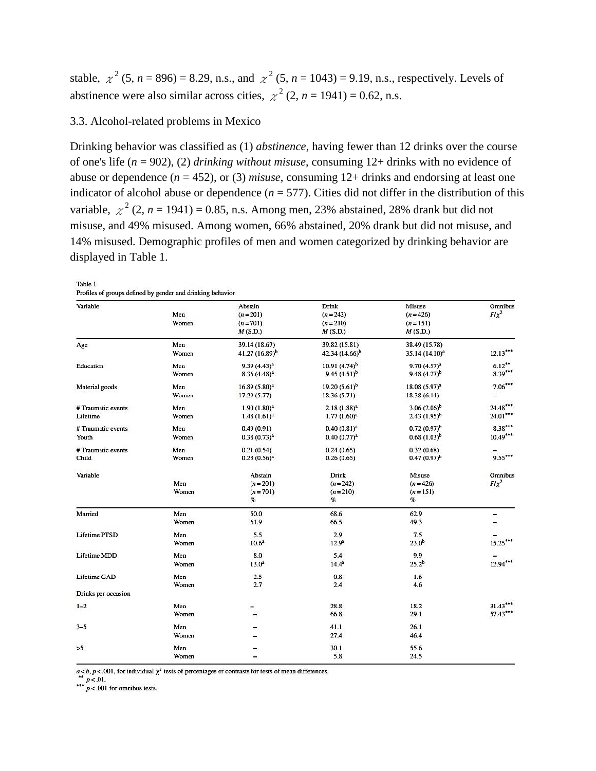stable,  $\chi^2$  (5, *n* = 896) = 8.29, n.s., and  $\chi^2$  (5, *n* = 1043) = 9.19, n.s., respectively. Levels of abstinence were also similar across cities,  $\chi^2$  (2, *n* = 1941) = 0.62, n.s.

## 3.3. Alcohol-related problems in Mexico

Drinking behavior was classified as (1) *abstinence*, having fewer than 12 drinks over the course of one's life (*n* = 902), (2) *drinking without misuse*, consuming 12+ drinks with no evidence of abuse or dependence  $(n = 452)$ , or (3) *misuse*, consuming  $12+$  drinks and endorsing at least one indicator of alcohol abuse or dependence  $(n = 577)$ . Cities did not differ in the distribution of this variable,  $\chi^2$  (2, *n* = 1941) = 0.85, n.s. Among men, 23% abstained, 28% drank but did not misuse, and 49% misused. Among women, 66% abstained, 20% drank but did not misuse, and 14% misused. Demographic profiles of men and women categorized by drinking behavior are displayed in Table 1.

Table 1 Profiles of groups defined by gender and drinking behavior

| Variable             |       | Abstain           | <b>Drink</b>       | Misuse                     | Omnibus    |
|----------------------|-------|-------------------|--------------------|----------------------------|------------|
|                      | Men   | $(n=201)$         | $(n=242)$          | $(n=426)$                  | $F/\chi^2$ |
|                      | Women | $(n=701)$         | $(n=210)$          | $(n=151)$                  |            |
|                      |       | M(S.D.)           | M(S.D.)            | M(S.D.)                    |            |
| Age                  | Men   | 39.14 (18.67)     | 39.82 (15.81)      | 38.49 (15.78)              |            |
|                      | Women | 41.27 $(16.89)^b$ | 42.34 $(14.66)^b$  | 35.14 (14.10) <sup>a</sup> | $12.13***$ |
| Education            | Men   | $9.39(4.43)^{a}$  | $10.91(4.74)^b$    | $9.70(4.57)^{a}$           | $6.12***$  |
|                      | Women | $8.36(4.48)^{a}$  | $9.45(4.51)^b$     | $9.48(4.27)^{b}$           | $8.39***$  |
| Material goods       | Men   | $16.89(5.80)^{a}$ | 19.20 $(5.61)^{b}$ | $18.08(5.97)^{a}$          | $7.06***$  |
|                      | Women | 17.29(5.77)       | 18.36 (5.71)       | 18.38(6.14)                |            |
| # Traumatic events   | Men   | $1.90(1.80)^{a}$  | $2.18(1.88)^{a}$   | $3.06(2.06)^{b}$           | $24.48***$ |
| Lifetime             | Women | $1.48(1.61)^{3}$  | $1.77(1.60)^a$     | $2.43(1.95)^{b}$           | 24.01***   |
| # Traumatic events   | Men   | 0.49(0.91)        | $0.40(0.81)^{a}$   | $0.72(0.97)^{b}$           | $8.38***$  |
| Youth                | Women | $0.38(0.73)^{a}$  | $0.40(0.77)^{a}$   | $0.68(1.03)^{b}$           | $10.49***$ |
| # Traumatic events   | Men   | 0.21(0.54)        | 0.24(0.65)         | 0.32(0.68)                 |            |
| Child                | Women | $0.23(0.56)^{a}$  | 0.26(0.65)         | $0.47(0.97)^{b}$           | $9.55***$  |
| Variable             |       | Abstain           | <b>Drink</b>       | Misuse                     | Omnibus    |
|                      | Men   | $(n=201)$         | $(n=242)$          | $(n=426)$                  | $F/\chi^2$ |
|                      | Women | $(n = 701)$       | $(n=210)$          | $(n=151)$                  |            |
|                      |       | %                 | %                  | %                          |            |
| Married              | Men   | 50.0              | 68.6               | 62.9                       |            |
|                      | Women | 61.9              | 66.5               | 49.3                       |            |
| <b>Lifetime PTSD</b> | Men   | 5.5               | 2.9                | 7.5                        |            |
|                      | Women | $10.6^a$          | $12.9^{a}$         | 23.0 <sup>b</sup>          | 15.25***   |
| Lifetime MDD         | Men   | 8.0               | 5.4                | 9.9                        |            |
|                      | Women | $13.0^a$          | $14.4^{a}$         | $25.2^{b}$                 | $12.94***$ |
| Lifetime GAD         | Men   | 2.5               | 0.8                | 1.6                        |            |
|                      | Women | 2.7               | 2.4                | 4.6                        |            |
| Drinks per occasion  |       |                   |                    |                            |            |
| $1 - 2$              | Men   |                   | 28.8               | 18.2                       | 31.43***   |
|                      | Women |                   | 66.8               | 29.1                       | 57.43***   |
| $3 - 5$              | Men   |                   | 41.1               | 26.1                       |            |
|                      | Women |                   | 27.4               | 46.4                       |            |
| >5                   | Men   |                   | 30.1               | 55.6                       |            |
|                      | Women |                   | 5.8                | 24.5                       |            |

 $a < b$ ,  $p < .001$ , for individual  $\chi^2$  tests of percentages or contrasts for tests of mean differences.

\*\*  $p < .01$ .<br>\*\*\*  $p < .001$  for omnibus tests.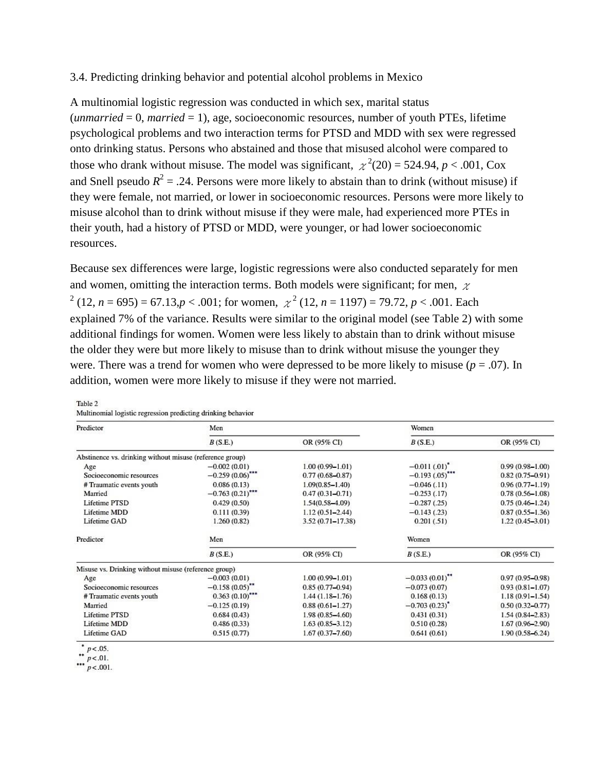#### 3.4. Predicting drinking behavior and potential alcohol problems in Mexico

A multinomial logistic regression was conducted in which sex, marital status (*unmarried* = 0, *married* = 1), age, socioeconomic resources, number of youth PTEs, lifetime psychological problems and two interaction terms for PTSD and MDD with sex were regressed onto drinking status. Persons who abstained and those that misused alcohol were compared to those who drank without misuse. The model was significant,  $\chi^2(20) = 524.94$ ,  $p < .001$ , Cox and Snell pseudo  $R^2 = .24$ . Persons were more likely to abstain than to drink (without misuse) if they were female, not married, or lower in socioeconomic resources. Persons were more likely to misuse alcohol than to drink without misuse if they were male, had experienced more PTEs in their youth, had a history of PTSD or MDD, were younger, or had lower socioeconomic resources.

Because sex differences were large, logistic regressions were also conducted separately for men and women, omitting the interaction terms. Both models were significant; for men,  $\chi$  $\chi^2$  (12, *n* = 695) = 67.13,*p* < .001; for women,  $\chi^2$  (12, *n* = 1197) = 79.72, *p* < .001. Each explained 7% of the variance. Results were similar to the original model (see Table 2) with some additional findings for women. Women were less likely to abstain than to drink without misuse the older they were but more likely to misuse than to drink without misuse the younger they were. There was a trend for women who were depressed to be more likely to misuse ( $p = .07$ ). In addition, women were more likely to misuse if they were not married.

| Predictor                                                | Men                |                      | Women             |                     |  |
|----------------------------------------------------------|--------------------|----------------------|-------------------|---------------------|--|
|                                                          | B(S.E.)            | OR (95% CI)          | B(S.E.)           | OR (95% CI)         |  |
| Abstinence vs. drinking without misuse (reference group) |                    |                      |                   |                     |  |
| Age                                                      | $-0.002(0.01)$     | $1.00(0.99 - 1.01)$  | $-0.011(0.01)^*$  | $0.99(0.98 - 1.00)$ |  |
| Socioeconomic resources                                  | $-0.259(0.06)$ *** | $0.77(0.68 - 0.87)$  | $-0.193(.05)$ *** | $0.82(0.75 - 0.91)$ |  |
| # Traumatic events youth                                 | 0.086(0.13)        | $1.09(0.85 - 1.40)$  | $-0.046(0.11)$    | $0.96(0.77 - 1.19)$ |  |
| Married                                                  | $-0.763(0.21)$ *** | $0.47(0.31 - 0.71)$  | $-0.253(0.17)$    | $0.78(0.56 - 1.08)$ |  |
| Lifetime PTSD                                            | 0.429(0.50)        | $1.54(0.58 - 4.09)$  | $-0.287(0.25)$    | $0.75(0.46 - 1.24)$ |  |
| Lifetime MDD                                             | 0.111(0.39)        | $1.12(0.51 - 2.44)$  | $-0.143(0.23)$    | $0.87(0.55 - 1.36)$ |  |
| Lifetime GAD                                             | 1.260(0.82)        | $3.52(0.71 - 17.38)$ | 0.201(.51)        | $1.22(0.45 - 3.01)$ |  |
| Predictor                                                | Men                |                      | Women             |                     |  |
|                                                          | B(S.E.)            | OR (95% CI)          | B(S.E.)           | OR (95% CI)         |  |
| Misuse vs. Drinking without misuse (reference group)     |                    |                      |                   |                     |  |
| Age                                                      | $-0.003(0.01)$     | $1.00(0.99 - 1.01)$  | $-0.033(0.01)$ ** | $0.97(0.95 - 0.98)$ |  |
| Socioeconomic resources                                  | $-0.158(0.05)$ **  | $0.85(0.77-0.94)$    | $-0.073(0.07)$    | $0.93(0.81 - 1.07)$ |  |
| # Traumatic events youth                                 | $0.363(0.10)$ ***  | $1.44(1.18 - 1.76)$  | 0.168(0.13)       | $1.18(0.91 - 1.54)$ |  |
| Married                                                  | $-0.125(0.19)$     | $0.88(0.61 - 1.27)$  | $-0.703(0.23)^*$  | $0.50(0.32 - 0.77)$ |  |
| Lifetime PTSD                                            | 0.684(0.43)        | $1.98(0.85 - 4.60)$  | 0.431(0.31)       | $1.54(0.84 - 2.83)$ |  |
| Lifetime MDD                                             | 0.486(0.33)        | $1.63(0.85 - 3.12)$  | 0.510(0.28)       | $1.67(0.96 - 2.90)$ |  |
| Lifetime GAD                                             | 0.515(0.77)        | $1.67(0.37 - 7.60)$  | 0.641(0.61)       | $1.90(0.58 - 6.24)$ |  |

Table 2

| Multinomial logistic regression predicting drinking behavior |  |  |  |
|--------------------------------------------------------------|--|--|--|
|                                                              |  |  |  |

 $p < .05$ .

\*\*  $p < .01$ .<br>\*\*\*  $p < .001$ .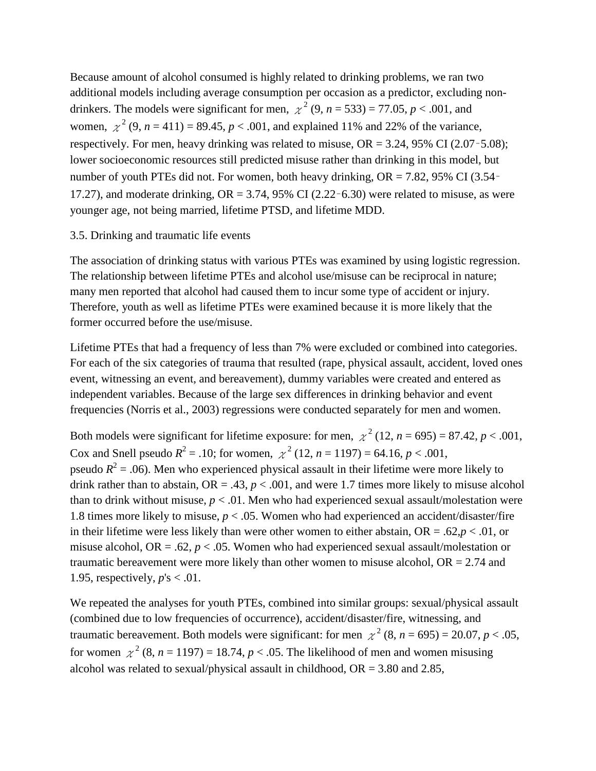Because amount of alcohol consumed is highly related to drinking problems, we ran two additional models including average consumption per occasion as a predictor, excluding nondrinkers. The models were significant for men,  $\chi^2$  (9, *n* = 533) = 77.05, *p* < .001, and women,  $\chi^2$  (9, *n* = 411) = 89.45, *p* < .001, and explained 11% and 22% of the variance, respectively. For men, heavy drinking was related to misuse,  $OR = 3.24$ , 95% CI (2.07-5.08); lower socioeconomic resources still predicted misuse rather than drinking in this model, but number of youth PTEs did not. For women, both heavy drinking, OR = 7.82, 95% CI (3.54– 17.27), and moderate drinking,  $OR = 3.74$ , 95% CI (2.22-6.30) were related to misuse, as were younger age, not being married, lifetime PTSD, and lifetime MDD.

#### 3.5. Drinking and traumatic life events

The association of drinking status with various PTEs was examined by using logistic regression. The relationship between lifetime PTEs and alcohol use/misuse can be reciprocal in nature; many men reported that alcohol had caused them to incur some type of accident or injury. Therefore, youth as well as lifetime PTEs were examined because it is more likely that the former occurred before the use/misuse.

Lifetime PTEs that had a frequency of less than 7% were excluded or combined into categories. For each of the six categories of trauma that resulted (rape, physical assault, accident, loved ones event, witnessing an event, and bereavement), dummy variables were created and entered as independent variables. Because of the large sex differences in drinking behavior and event frequencies (Norris et al., 2003) regressions were conducted separately for men and women.

Both models were significant for lifetime exposure: for men,  $\chi^2$  (12, *n* = 695) = 87.42, *p* < .001, Cox and Snell pseudo  $R^2 = .10$ ; for women,  $\chi^2$  (12, *n* = 1197) = 64.16, *p* < .001, pseudo  $R^2$  = .06). Men who experienced physical assault in their lifetime were more likely to drink rather than to abstain,  $OR = .43$ ,  $p < .001$ , and were 1.7 times more likely to misuse alcohol than to drink without misuse,  $p < .01$ . Men who had experienced sexual assault/molestation were 1.8 times more likely to misuse,  $p < .05$ . Women who had experienced an accident/disaster/fire in their lifetime were less likely than were other women to either abstain, OR = .62,*p* < .01, or misuse alcohol, OR = .62, *p* < .05. Women who had experienced sexual assault/molestation or traumatic bereavement were more likely than other women to misuse alcohol,  $OR = 2.74$  and 1.95, respectively, *p*'s < .01.

We repeated the analyses for youth PTEs, combined into similar groups: sexual/physical assault (combined due to low frequencies of occurrence), accident/disaster/fire, witnessing, and traumatic bereavement. Both models were significant: for men  $\chi^2$  (8, *n* = 695) = 20.07, *p* < .05, for women  $\chi^2$  (8, *n* = 1197) = 18.74, *p* < .05. The likelihood of men and women misusing alcohol was related to sexual/physical assault in childhood,  $OR = 3.80$  and 2.85,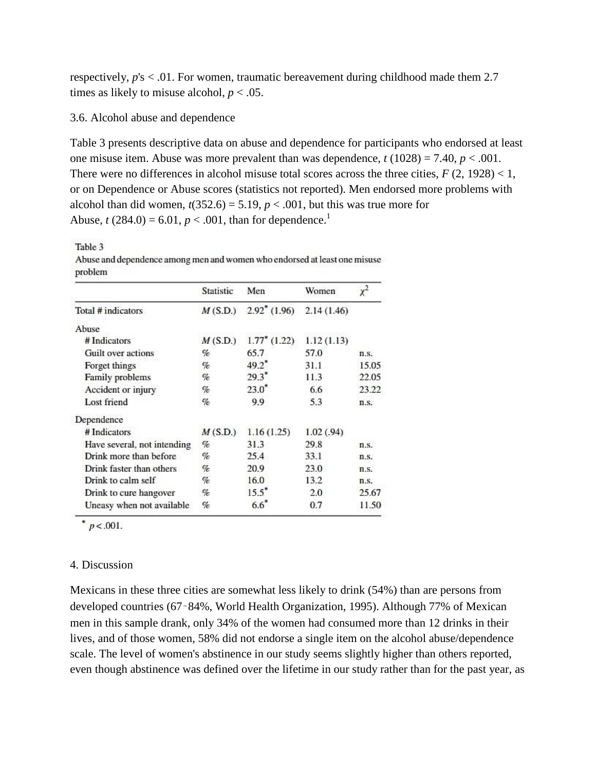respectively, *p*'s < .01. For women, traumatic bereavement during childhood made them 2.7 times as likely to misuse alcohol,  $p < .05$ .

#### 3.6. Alcohol abuse and dependence

Table 3 presents descriptive data on abuse and dependence for participants who endorsed at least one misuse item. Abuse was more prevalent than was dependence,  $t(1028) = 7.40$ ,  $p < .001$ . There were no differences in alcohol misuse total scores across the three cities,  $F(2, 1928) < 1$ , or on Dependence or Abuse scores (statistics not reported). Men endorsed more problems with alcohol than did women,  $t(352.6) = 5.19$ ,  $p < .001$ , but this was true more for Abuse,  $t(284.0) = 6.01$ ,  $p < .001$ , than for dependence.<sup>1</sup>

Table 3

Abuse and dependence among men and women who endorsed at least one misuse problem

|                             | Statistic | Men             | Women      | $x^2$   |
|-----------------------------|-----------|-----------------|------------|---------|
| Total # indicators          | M(S.D.)   | $2.92^*$ (1.96) | 2.14(1.46) |         |
| Abuse                       |           |                 |            |         |
| # Indicators                | M(S.D.)   | $1.77^*$ (1.22) | 1.12(1.13) |         |
| Guilt over actions          | %         | 65.7            | 57.0       | n.S.    |
| Forget things               | %         | $49.2^*$        | 31.1       | 15.05   |
| Family problems             | %         | $29.3^*$        | 11.3       | 22.05   |
| Accident or injury          | %         | $23.0^*$        | 6.6        | 23.22   |
| Lost friend                 | %         | 9.9             | 5.3        | n.S.    |
| Dependence                  |           |                 |            |         |
| # Indicators                | M(S.D.)   | 1.16(1.25)      | 1.02(0.94) |         |
| Have several, not intending | %         | 31.3            | 29.8       | n.S.    |
| Drink more than before      | %         | 25.4            | 33.1       | n.S.    |
| Drink faster than others    | %         | 20.9            | 23.0       | $n.5$ . |
| Drink to calm self          | %         | 16.0            | 13.2       | n.S.    |
| Drink to cure hangover      | %         | $15.5^{\circ}$  | 2.0        | 25.67   |
| Uneasy when not available   | %         | $6.6^{\degree}$ | 0.7        | 11.50   |

\*  $p < .001$ .

### 4. Discussion

Mexicans in these three cities are somewhat less likely to drink (54%) than are persons from developed countries (67–84%, World Health Organization, 1995). Although 77% of Mexican men in this sample drank, only 34% of the women had consumed more than 12 drinks in their lives, and of those women, 58% did not endorse a single item on the alcohol abuse/dependence scale. The level of women's abstinence in our study seems slightly higher than others reported, even though abstinence was defined over the lifetime in our study rather than for the past year, as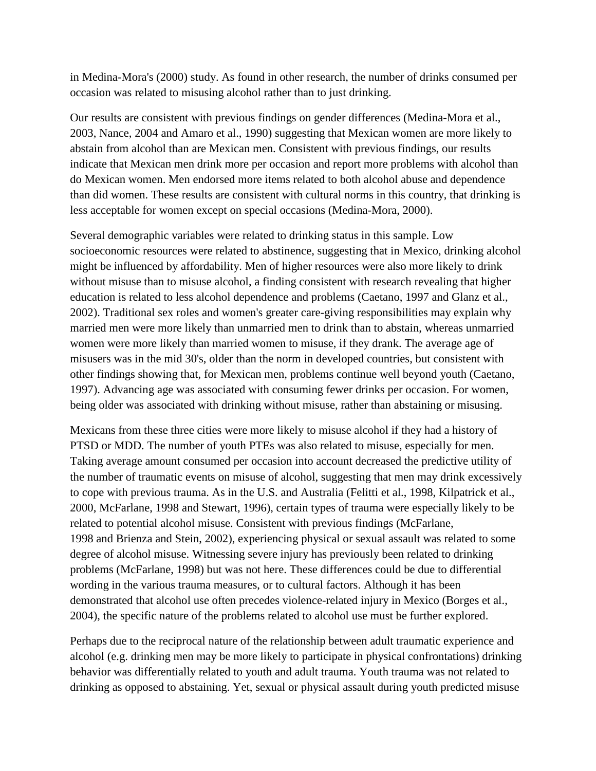in Medina-Mora's (2000) study. As found in other research, the number of drinks consumed per occasion was related to misusing alcohol rather than to just drinking.

Our results are consistent with previous findings on gender differences (Medina-Mora et al., 2003, Nance, 2004 and Amaro et al., 1990) suggesting that Mexican women are more likely to abstain from alcohol than are Mexican men. Consistent with previous findings, our results indicate that Mexican men drink more per occasion and report more problems with alcohol than do Mexican women. Men endorsed more items related to both alcohol abuse and dependence than did women. These results are consistent with cultural norms in this country, that drinking is less acceptable for women except on special occasions (Medina-Mora, 2000).

Several demographic variables were related to drinking status in this sample. Low socioeconomic resources were related to abstinence, suggesting that in Mexico, drinking alcohol might be influenced by affordability. Men of higher resources were also more likely to drink without misuse than to misuse alcohol, a finding consistent with research revealing that higher education is related to less alcohol dependence and problems (Caetano, 1997 and Glanz et al., 2002). Traditional sex roles and women's greater care-giving responsibilities may explain why married men were more likely than unmarried men to drink than to abstain, whereas unmarried women were more likely than married women to misuse, if they drank. The average age of misusers was in the mid 30's, older than the norm in developed countries, but consistent with other findings showing that, for Mexican men, problems continue well beyond youth (Caetano, 1997). Advancing age was associated with consuming fewer drinks per occasion. For women, being older was associated with drinking without misuse, rather than abstaining or misusing.

Mexicans from these three cities were more likely to misuse alcohol if they had a history of PTSD or MDD. The number of youth PTEs was also related to misuse, especially for men. Taking average amount consumed per occasion into account decreased the predictive utility of the number of traumatic events on misuse of alcohol, suggesting that men may drink excessively to cope with previous trauma. As in the U.S. and Australia (Felitti et al., 1998, Kilpatrick et al., 2000, McFarlane, 1998 and Stewart, 1996), certain types of trauma were especially likely to be related to potential alcohol misuse. Consistent with previous findings (McFarlane, 1998 and Brienza and Stein, 2002), experiencing physical or sexual assault was related to some degree of alcohol misuse. Witnessing severe injury has previously been related to drinking problems (McFarlane, 1998) but was not here. These differences could be due to differential wording in the various trauma measures, or to cultural factors. Although it has been demonstrated that alcohol use often precedes violence-related injury in Mexico (Borges et al., 2004), the specific nature of the problems related to alcohol use must be further explored.

Perhaps due to the reciprocal nature of the relationship between adult traumatic experience and alcohol (e.g. drinking men may be more likely to participate in physical confrontations) drinking behavior was differentially related to youth and adult trauma. Youth trauma was not related to drinking as opposed to abstaining. Yet, sexual or physical assault during youth predicted misuse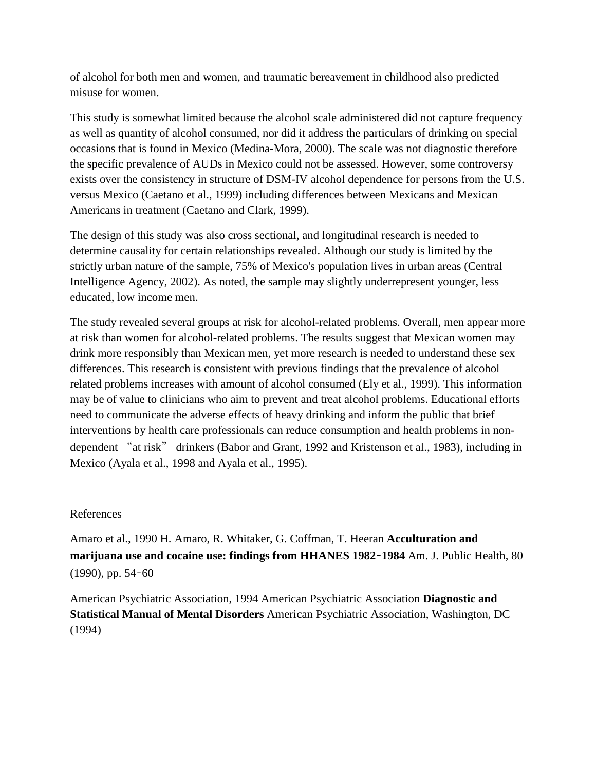of alcohol for both men and women, and traumatic bereavement in childhood also predicted misuse for women.

This study is somewhat limited because the alcohol scale administered did not capture frequency as well as quantity of alcohol consumed, nor did it address the particulars of drinking on special occasions that is found in Mexico (Medina-Mora, 2000). The scale was not diagnostic therefore the specific prevalence of AUDs in Mexico could not be assessed. However, some controversy exists over the consistency in structure of DSM-IV alcohol dependence for persons from the U.S. versus Mexico (Caetano et al., 1999) including differences between Mexicans and Mexican Americans in treatment (Caetano and Clark, 1999).

The design of this study was also cross sectional, and longitudinal research is needed to determine causality for certain relationships revealed. Although our study is limited by the strictly urban nature of the sample, 75% of Mexico's population lives in urban areas (Central Intelligence Agency, 2002). As noted, the sample may slightly underrepresent younger, less educated, low income men.

The study revealed several groups at risk for alcohol-related problems. Overall, men appear more at risk than women for alcohol-related problems. The results suggest that Mexican women may drink more responsibly than Mexican men, yet more research is needed to understand these sex differences. This research is consistent with previous findings that the prevalence of alcohol related problems increases with amount of alcohol consumed (Ely et al., 1999). This information may be of value to clinicians who aim to prevent and treat alcohol problems. Educational efforts need to communicate the adverse effects of heavy drinking and inform the public that brief interventions by health care professionals can reduce consumption and health problems in nondependent "at risk" drinkers (Babor and Grant, 1992 and Kristenson et al., 1983), including in Mexico (Ayala et al., 1998 and Ayala et al., 1995).

### References

Amaro et al., 1990 H. Amaro, R. Whitaker, G. Coffman, T. Heeran **Acculturation and marijuana use and cocaine use: findings from HHANES 1982**–**1984** Am. J. Public Health, 80 (1990), pp. 54–60

American Psychiatric Association, 1994 American Psychiatric Association **Diagnostic and Statistical Manual of Mental Disorders** American Psychiatric Association, Washington, DC (1994)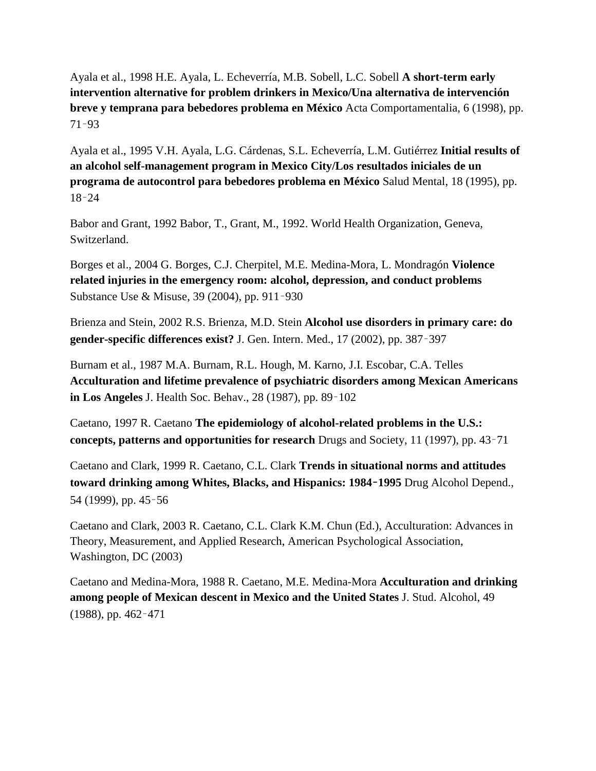Ayala et al., 1998 H.E. Ayala, L. Echeverría, M.B. Sobell, L.C. Sobell **A short-term early intervention alternative for problem drinkers in Mexico/Una alternativa de intervención breve y temprana para bebedores problema en México** Acta Comportamentalia, 6 (1998), pp. 71–93

Ayala et al., 1995 V.H. Ayala, L.G. Cárdenas, S.L. Echeverría, L.M. Gutiérrez **Initial results of an alcohol self-management program in Mexico City/Los resultados iniciales de un programa de autocontrol para bebedores problema en México** Salud Mental, 18 (1995), pp. 18–24

Babor and Grant, 1992 Babor, T., Grant, M., 1992. World Health Organization, Geneva, Switzerland.

Borges et al., 2004 G. Borges, C.J. Cherpitel, M.E. Medina-Mora, L. Mondragón **Violence related injuries in the emergency room: alcohol, depression, and conduct problems** Substance Use & Misuse, 39 (2004), pp. 911–930

Brienza and Stein, 2002 R.S. Brienza, M.D. Stein **Alcohol use disorders in primary care: do gender-specific differences exist?** J. Gen. Intern. Med., 17 (2002), pp. 387–397

Burnam et al., 1987 M.A. Burnam, R.L. Hough, M. Karno, J.I. Escobar, C.A. Telles **Acculturation and lifetime prevalence of psychiatric disorders among Mexican Americans in Los Angeles** J. Health Soc. Behav., 28 (1987), pp. 89–102

Caetano, 1997 R. Caetano **The epidemiology of alcohol-related problems in the U.S.: concepts, patterns and opportunities for research** Drugs and Society, 11 (1997), pp. 43–71

Caetano and Clark, 1999 R. Caetano, C.L. Clark **Trends in situational norms and attitudes toward drinking among Whites, Blacks, and Hispanics: 1984**–**1995** Drug Alcohol Depend., 54 (1999), pp. 45–56

Caetano and Clark, 2003 R. Caetano, C.L. Clark K.M. Chun (Ed.), Acculturation: Advances in Theory, Measurement, and Applied Research, American Psychological Association, Washington, DC (2003)

Caetano and Medina-Mora, 1988 R. Caetano, M.E. Medina-Mora **Acculturation and drinking among people of Mexican descent in Mexico and the United States** J. Stud. Alcohol, 49 (1988), pp. 462–471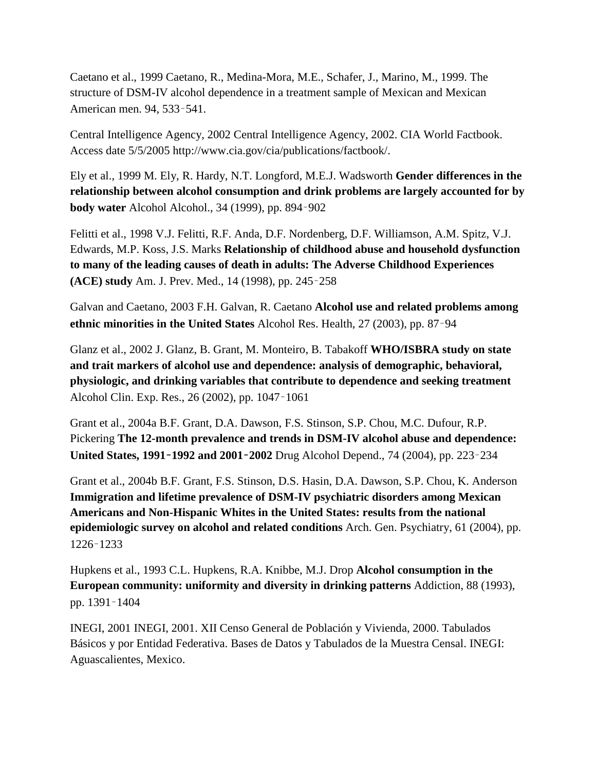Caetano et al., 1999 Caetano, R., Medina-Mora, M.E., Schafer, J., Marino, M., 1999. The structure of DSM-IV alcohol dependence in a treatment sample of Mexican and Mexican American men. 94, 533–541.

Central Intelligence Agency, 2002 Central Intelligence Agency, 2002. CIA World Factbook. Access date 5/5/2005 http://www.cia.gov/cia/publications/factbook/.

Ely et al., 1999 M. Ely, R. Hardy, N.T. Longford, M.E.J. Wadsworth **Gender differences in the relationship between alcohol consumption and drink problems are largely accounted for by body water** Alcohol Alcohol., 34 (1999), pp. 894–902

Felitti et al., 1998 V.J. Felitti, R.F. Anda, D.F. Nordenberg, D.F. Williamson, A.M. Spitz, V.J. Edwards, M.P. Koss, J.S. Marks **Relationship of childhood abuse and household dysfunction to many of the leading causes of death in adults: The Adverse Childhood Experiences (ACE) study** Am. J. Prev. Med., 14 (1998), pp. 245–258

Galvan and Caetano, 2003 F.H. Galvan, R. Caetano **Alcohol use and related problems among ethnic minorities in the United States** Alcohol Res. Health, 27 (2003), pp. 87–94

Glanz et al., 2002 J. Glanz, B. Grant, M. Monteiro, B. Tabakoff **WHO/ISBRA study on state and trait markers of alcohol use and dependence: analysis of demographic, behavioral, physiologic, and drinking variables that contribute to dependence and seeking treatment** Alcohol Clin. Exp. Res., 26 (2002), pp. 1047–1061

Grant et al., 2004a B.F. Grant, D.A. Dawson, F.S. Stinson, S.P. Chou, M.C. Dufour, R.P. Pickering **The 12-month prevalence and trends in DSM-IV alcohol abuse and dependence: United States, 1991**–**1992 and 2001**–**2002** Drug Alcohol Depend., 74 (2004), pp. 223–234

Grant et al., 2004b B.F. Grant, F.S. Stinson, D.S. Hasin, D.A. Dawson, S.P. Chou, K. Anderson **Immigration and lifetime prevalence of DSM-IV psychiatric disorders among Mexican Americans and Non-Hispanic Whites in the United States: results from the national epidemiologic survey on alcohol and related conditions** Arch. Gen. Psychiatry, 61 (2004), pp. 1226–1233

Hupkens et al., 1993 C.L. Hupkens, R.A. Knibbe, M.J. Drop **Alcohol consumption in the European community: uniformity and diversity in drinking patterns** Addiction, 88 (1993), pp. 1391–1404

INEGI, 2001 INEGI, 2001. XII Censo General de Población y Vivienda, 2000. Tabulados Básicos y por Entidad Federativa. Bases de Datos y Tabulados de la Muestra Censal. INEGI: Aguascalientes, Mexico.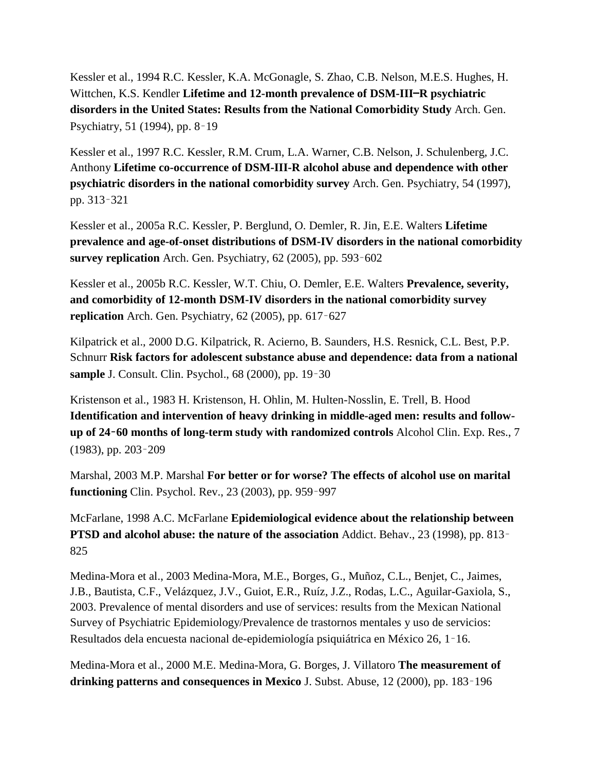Kessler et al., 1994 R.C. Kessler, K.A. McGonagle, S. Zhao, C.B. Nelson, M.E.S. Hughes, H. Wittchen, K.S. Kendler **Lifetime and 12-month prevalence of DSM-III**—**R psychiatric disorders in the United States: Results from the National Comorbidity Study** Arch. Gen. Psychiatry, 51 (1994), pp. 8–19

Kessler et al., 1997 R.C. Kessler, R.M. Crum, L.A. Warner, C.B. Nelson, J. Schulenberg, J.C. Anthony **Lifetime co-occurrence of DSM-III-R alcohol abuse and dependence with other psychiatric disorders in the national comorbidity survey** Arch. Gen. Psychiatry, 54 (1997), pp. 313–321

Kessler et al., 2005a R.C. Kessler, P. Berglund, O. Demler, R. Jin, E.E. Walters **Lifetime prevalence and age-of-onset distributions of DSM-IV disorders in the national comorbidity survey replication** Arch. Gen. Psychiatry, 62 (2005), pp. 593–602

Kessler et al., 2005b R.C. Kessler, W.T. Chiu, O. Demler, E.E. Walters **Prevalence, severity, and comorbidity of 12-month DSM-IV disorders in the national comorbidity survey replication** Arch. Gen. Psychiatry, 62 (2005), pp. 617–627

Kilpatrick et al., 2000 D.G. Kilpatrick, R. Acierno, B. Saunders, H.S. Resnick, C.L. Best, P.P. Schnurr **Risk factors for adolescent substance abuse and dependence: data from a national sample** J. Consult. Clin. Psychol., 68 (2000), pp. 19–30

Kristenson et al., 1983 H. Kristenson, H. Ohlin, M. Hulten-Nosslin, E. Trell, B. Hood **Identification and intervention of heavy drinking in middle-aged men: results and followup of 24**–**60 months of long-term study with randomized controls** Alcohol Clin. Exp. Res., 7 (1983), pp. 203–209

Marshal, 2003 M.P. Marshal **For better or for worse? The effects of alcohol use on marital functioning** Clin. Psychol. Rev., 23 (2003), pp. 959–997

McFarlane, 1998 A.C. McFarlane **Epidemiological evidence about the relationship between PTSD and alcohol abuse: the nature of the association** Addict. Behav., 23 (1998), pp. 813– 825

Medina-Mora et al., 2003 Medina-Mora, M.E., Borges, G., Muñoz, C.L., Benjet, C., Jaimes, J.B., Bautista, C.F., Velázquez, J.V., Guiot, E.R., Ruíz, J.Z., Rodas, L.C., Aguilar-Gaxiola, S., 2003. Prevalence of mental disorders and use of services: results from the Mexican National Survey of Psychiatric Epidemiology/Prevalence de trastornos mentales y uso de servicios: Resultados dela encuesta nacional de-epidemiología psiquiátrica en México 26, 1–16.

Medina-Mora et al., 2000 M.E. Medina-Mora, G. Borges, J. Villatoro **The measurement of drinking patterns and consequences in Mexico** J. Subst. Abuse, 12 (2000), pp. 183–196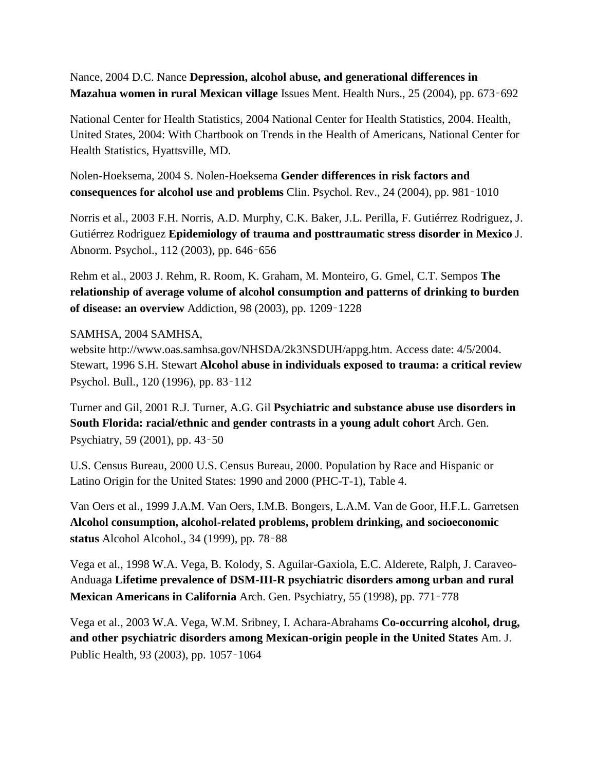Nance, 2004 D.C. Nance **Depression, alcohol abuse, and generational differences in Mazahua women in rural Mexican village** Issues Ment. Health Nurs., 25 (2004), pp. 673–692

National Center for Health Statistics, 2004 National Center for Health Statistics, 2004. Health, United States, 2004: With Chartbook on Trends in the Health of Americans, National Center for Health Statistics, Hyattsville, MD.

Nolen-Hoeksema, 2004 S. Nolen-Hoeksema **Gender differences in risk factors and consequences for alcohol use and problems** Clin. Psychol. Rev., 24 (2004), pp. 981–1010

Norris et al., 2003 F.H. Norris, A.D. Murphy, C.K. Baker, J.L. Perilla, F. Gutiérrez Rodriguez, J. Gutiérrez Rodriguez **Epidemiology of trauma and posttraumatic stress disorder in Mexico** J. Abnorm. Psychol., 112 (2003), pp. 646–656

Rehm et al., 2003 J. Rehm, R. Room, K. Graham, M. Monteiro, G. Gmel, C.T. Sempos **The relationship of average volume of alcohol consumption and patterns of drinking to burden of disease: an overview** Addiction, 98 (2003), pp. 1209–1228

### SAMHSA, 2004 SAMHSA,

website http://www.oas.samhsa.gov/NHSDA/2k3NSDUH/appg.htm. Access date: 4/5/2004. Stewart, 1996 S.H. Stewart **Alcohol abuse in individuals exposed to trauma: a critical review** Psychol. Bull., 120 (1996), pp. 83–112

Turner and Gil, 2001 R.J. Turner, A.G. Gil **Psychiatric and substance abuse use disorders in South Florida: racial/ethnic and gender contrasts in a young adult cohort** Arch. Gen. Psychiatry, 59 (2001), pp. 43–50

U.S. Census Bureau, 2000 U.S. Census Bureau, 2000. Population by Race and Hispanic or Latino Origin for the United States: 1990 and 2000 (PHC-T-1), Table 4.

Van Oers et al., 1999 J.A.M. Van Oers, I.M.B. Bongers, L.A.M. Van de Goor, H.F.L. Garretsen **Alcohol consumption, alcohol-related problems, problem drinking, and socioeconomic status** Alcohol Alcohol., 34 (1999), pp. 78–88

Vega et al., 1998 W.A. Vega, B. Kolody, S. Aguilar-Gaxiola, E.C. Alderete, Ralph, J. Caraveo-Anduaga **Lifetime prevalence of DSM-III-R psychiatric disorders among urban and rural Mexican Americans in California** Arch. Gen. Psychiatry, 55 (1998), pp. 771–778

Vega et al., 2003 W.A. Vega, W.M. Sribney, I. Achara-Abrahams **Co-occurring alcohol, drug, and other psychiatric disorders among Mexican-origin people in the United States** Am. J. Public Health, 93 (2003), pp. 1057–1064